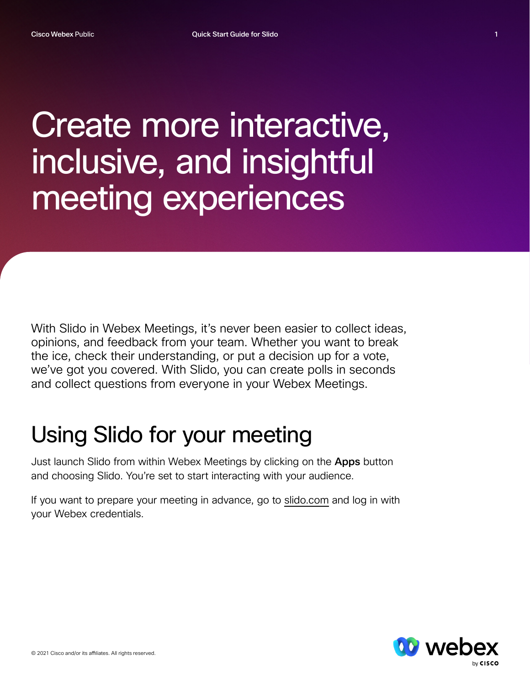## Create more interactive, inclusive, and insightful meeting experiences

With Slido in Webex Meetings, it's never been easier to collect ideas, opinions, and feedback from your team. Whether you want to break the ice, check their understanding, or put a decision up for a vote, we've got you covered. With Slido, you can create polls in seconds and collect questions from everyone in your Webex Meetings.

## Using Slido for your meeting

Just launch Slido from within Webex Meetings by clicking on the Apps button and choosing Slido. You're set to start interacting with your audience.

If you want to prepare your meeting in advance, go t[o slido.com](https://www.sli.do/admin/events?_gl=1*1v1558g*_up*MQ..*_ga*MTg4NjQ5OTk3MC4xNjI0NTMzNzgx*_ga_ZZ1LJF8G31*MTYyNDUzMzc4MC4xLjAuMTYyNDUzMzc4MC4w) and log in with your Webex credentials.

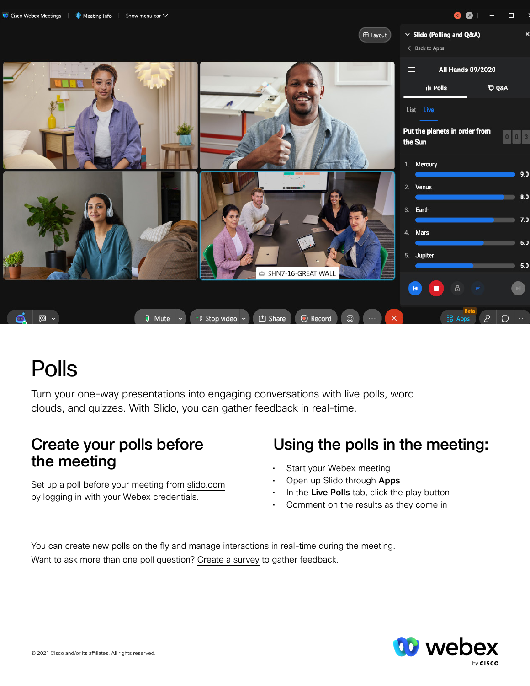



## Polls

Turn your one-way presentations into engaging conversations with live polls, word clouds, and quizzes. With Slido, you can gather feedback in real-time.

# the meeting entity of the meeting of the meeting of the meeting

Set up a poll before your meeting fro[m slido.com](https://www.sli.do/admin/events?_gl=1*1v1558g*_up*MQ..*_ga*MTg4NjQ5OTk3MC4xNjI0NTMzNzgx*_ga_ZZ1LJF8G31*MTYyNDUzMzc4MC4xLjAuMTYyNDUzMzc4MC4w) by logging in with your Webex credentials.

#### Create your polls before Using the polls in the meeting:

- 
- Open up Slido through Apps
- In the Live Polls tab, click the play button
- Comment on the results as they come in

You can create new polls on the fly and manage interactions in real-time during the meeting. Want to ask more than one poll question[? Create a survey](https://help.webex.com/qpvziw/) to gather feedback.



 $\Box$ 

 $9.0$ 

 $8.0$ 

 $7.0$ 

 $6.0$ 

 $5.0$